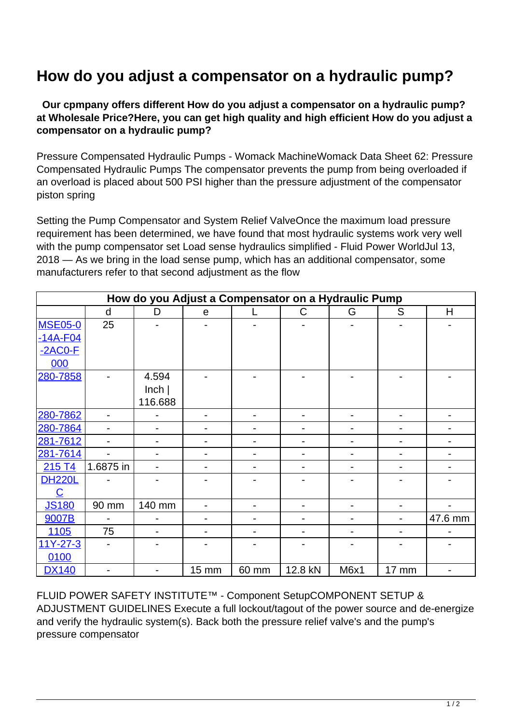## **How do you adjust a compensator on a hydraulic pump?**

 **Our cpmpany offers different How do you adjust a compensator on a hydraulic pump? at Wholesale Price?Here, you can get high quality and high efficient How do you adjust a compensator on a hydraulic pump?**

Pressure Compensated Hydraulic Pumps - Womack MachineWomack Data Sheet 62: Pressure Compensated Hydraulic Pumps The compensator prevents the pump from being overloaded if an overload is placed about 500 PSI higher than the pressure adjustment of the compensator piston spring

Setting the Pump Compensator and System Relief ValveOnce the maximum load pressure requirement has been determined, we have found that most hydraulic systems work very well with the pump compensator set Load sense hydraulics simplified - Fluid Power WorldJul 13, 2018 — As we bring in the load sense pump, which has an additional compensator, some manufacturers refer to that second adjustment as the flow

| How do you Adjust a Compensator on a Hydraulic Pump |                          |                              |       |                          |         |      |                          |                          |  |
|-----------------------------------------------------|--------------------------|------------------------------|-------|--------------------------|---------|------|--------------------------|--------------------------|--|
|                                                     | d                        | D                            | e     |                          | C       | G    | S                        | H                        |  |
| <b>MSE05-0</b>                                      | 25                       |                              |       |                          |         |      |                          |                          |  |
| -14A-F04                                            |                          |                              |       |                          |         |      |                          |                          |  |
| $-2ACO-F$                                           |                          |                              |       |                          |         |      |                          |                          |  |
| 000                                                 |                          |                              |       |                          |         |      |                          |                          |  |
| 280-7858                                            |                          | 4.594                        |       |                          |         |      |                          |                          |  |
|                                                     |                          | lnch                         |       |                          |         |      |                          |                          |  |
|                                                     |                          | 116.688                      |       |                          |         |      |                          |                          |  |
| 280-7862                                            | $\blacksquare$           |                              | -     | $\overline{\phantom{0}}$ | -       |      | $\overline{\phantom{0}}$ | $\overline{\phantom{0}}$ |  |
| 280-7864                                            |                          |                              |       |                          |         |      |                          |                          |  |
| 281-7612                                            |                          |                              |       |                          |         |      |                          |                          |  |
| 281-7614                                            | $\overline{\phantom{a}}$ | $\overline{\phantom{0}}$     | -     | $\blacksquare$           | -       |      | $\overline{\phantom{0}}$ | $\overline{\phantom{0}}$ |  |
| 215 T4                                              | 1.6875 in                |                              |       |                          |         |      |                          |                          |  |
| <b>DH220L</b>                                       |                          |                              |       |                          |         |      |                          |                          |  |
| $\overline{\mathbf{C}}$                             |                          |                              |       |                          |         |      |                          |                          |  |
| <b>JS180</b>                                        | 90 mm                    | 140 mm                       |       |                          |         |      |                          |                          |  |
| 9007B                                               |                          |                              |       |                          |         |      |                          | 47.6 mm                  |  |
| <u>1105</u>                                         | 75                       |                              |       |                          |         |      |                          |                          |  |
| 11Y-27-3                                            |                          |                              |       |                          |         |      |                          |                          |  |
| 0100                                                |                          |                              |       |                          |         |      |                          |                          |  |
| <b>DX140</b>                                        | -                        | $\qquad \qquad \blacksquare$ | 15 mm | 60 mm                    | 12.8 kN | M6x1 | 17 mm                    | $\overline{\phantom{0}}$ |  |

FLUID POWER SAFETY INSTITUTE™ - Component SetupCOMPONENT SETUP & ADJUSTMENT GUIDELINES Execute a full lockout/tagout of the power source and de-energize and verify the hydraulic system(s). Back both the pressure relief valve's and the pump's pressure compensator